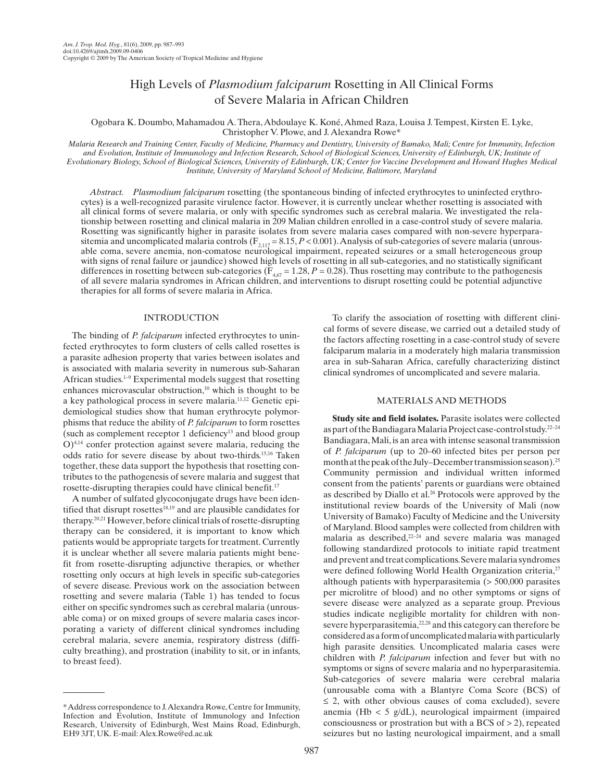# High Levels of *Plasmodium falciparum* Rosetting in All Clinical Forms of Severe Malaria in African Children

 Ogobara K. Doumbo , Mahamadou A. Thera , Abdoulaye K. Koné , Ahmed Raza , Louisa J. Tempest , Kirsten E. Lyke , Christopher V. Plowe, and J. Alexandra Rowe\*

 *Malaria Research and Training Center, Faculty of Medicine, Pharmacy and Dentistry, University of Bamako, Mali; Centre for Immunity, Infection and Evolution, Institute of Immunology and Infection Research, School of Biological Sciences, University of Edinburgh, UK; Institute of Evolutionary Biology, School of Biological Sciences, University of Edinburgh, UK; Center for Vaccine Development and Howard Hughes Medical Institute, University of Maryland School of Medicine, Baltimore, Maryland* 

*Abstract. Plasmodium falciparum* rosetting (the spontaneous binding of infected erythrocytes to uninfected erythrocytes) is a well-recognized parasite virulence factor. However, it is currently unclear whether rosetting is associated with all clinical forms of severe malaria, or only with specific syndromes such as cerebral malaria. We investigated the relationship between rosetting and clinical malaria in 209 Malian children enrolled in a case-control study of severe malaria. Rosetting was significantly higher in parasite isolates from severe malaria cases compared with non-severe hyperparasitemia and uncomplicated malaria controls  $(F_{2,117} = 8.15, P < 0.001)$ . Analysis of sub-categories of severe malaria (unrousable coma, severe anemia, non-comatose neurological impairment, repeated seizures or a small heterogeneous group with signs of renal failure or jaundice) showed high levels of rosetting in all sub-categories, and no statistically significant differences in rosetting between sub-categories ( $\overline{F}_{4,67}$  = 1.28, *P* = 0.28). Thus rosetting may contribute to the pathogenesis of all severe malaria syndromes in African children, and interventions to disrupt rosetting could be potential adjunctive therapies for all forms of severe malaria in Africa.

## INTRODUCTION

 The binding of *P. falciparum* infected erythrocytes to uninfected erythrocytes to form clusters of cells called rosettes is a parasite adhesion property that varies between isolates and is associated with malaria severity in numerous sub-Saharan African studies.<sup>1-9</sup> Experimental models suggest that rosetting enhances microvascular obstruction,<sup>10</sup> which is thought to be a key pathological process in severe malaria. 11,12 Genetic epidemiological studies show that human erythrocyte polymorphisms that reduce the ability of *P. falciparum* to form rosettes (such as complement receptor 1 deficiency<sup>13</sup> and blood group  $O$ <sup>4,14</sup> confer protection against severe malaria, reducing the odds ratio for severe disease by about two-thirds. 15,16 Taken together, these data support the hypothesis that rosetting contributes to the pathogenesis of severe malaria and suggest that rosette-disrupting therapies could have clinical benefit. 17

 A number of sulfated glycoconjugate drugs have been identified that disrupt rosettes<sup>18,19</sup> and are plausible candidates for therapy. 20,21 However, before clinical trials of rosette-disrupting therapy can be considered, it is important to know which patients would be appropriate targets for treatment. Currently it is unclear whether all severe malaria patients might benefit from rosette-disrupting adjunctive therapies, or whether rosetting only occurs at high levels in specific sub-categories of severe disease. Previous work on the association between rosetting and severe malaria (Table 1) has tended to focus either on specific syndromes such as cerebral malaria (unrousable coma) or on mixed groups of severe malaria cases incorporating a variety of different clinical syndromes including cerebral malaria, severe anemia, respiratory distress (difficulty breathing), and prostration (inability to sit, or in infants, to breast feed).

 To clarify the association of rosetting with different clinical forms of severe disease, we carried out a detailed study of the factors affecting rosetting in a case-control study of severe falciparum malaria in a moderately high malaria transmission area in sub-Saharan Africa, carefully characterizing distinct clinical syndromes of uncomplicated and severe malaria.

#### MATERIALS AND METHODS

 **Study site and field isolates.** Parasite isolates were collected as part of the Bandiagara Malaria Project case-control study.<sup>22-24</sup> Bandiagara, Mali, is an area with intense seasonal transmission of *P. falciparum* (up to 20–60 infected bites per person per month at the peak of the July–December transmission season). 25 Community permission and individual written informed consent from the patients' parents or guardians were obtained as described by Diallo et al.<sup>26</sup> Protocols were approved by the institutional review boards of the University of Mali (now University of Bamako) Faculty of Medicine and the University of Maryland. Blood samples were collected from children with malaria as described, <sup>22-24</sup> and severe malaria was managed following standardized protocols to initiate rapid treatment and prevent and treat complications. Severe malaria syndromes were defined following World Health Organization criteria,<sup>27</sup> although patients with hyperparasitemia (> 500,000 parasites per microlitre of blood) and no other symptoms or signs of severe disease were analyzed as a separate group. Previous studies indicate negligible mortality for children with nonsevere hyperparasitemia, <sup>22,28</sup> and this category can therefore be considered as a form of uncomplicated malaria with particularly high parasite densities. Uncomplicated malaria cases were children with *P. falciparum* infection and fever but with no symptoms or signs of severe malaria and no hyperparasitemia. Sub-categories of severe malaria were cerebral malaria (unrousable coma with a Blantyre Coma Score (BCS) of  $\leq$  2, with other obvious causes of coma excluded), severe anemia (Hb  $<$  5 g/dL), neurological impairment (impaired consciousness or prostration but with a BCS of > 2), repeated seizures but no lasting neurological impairment, and a small

<sup>\*</sup> Address correspondence to J. Alexandra Rowe, Centre for Immunity, Infection and Evolution, Institute of Immunology and Infection Research, University of Edinburgh, West Mains Road, Edinburgh, EH9 3JT, UK. E-mail: Alex.Rowe@ed.ac.uk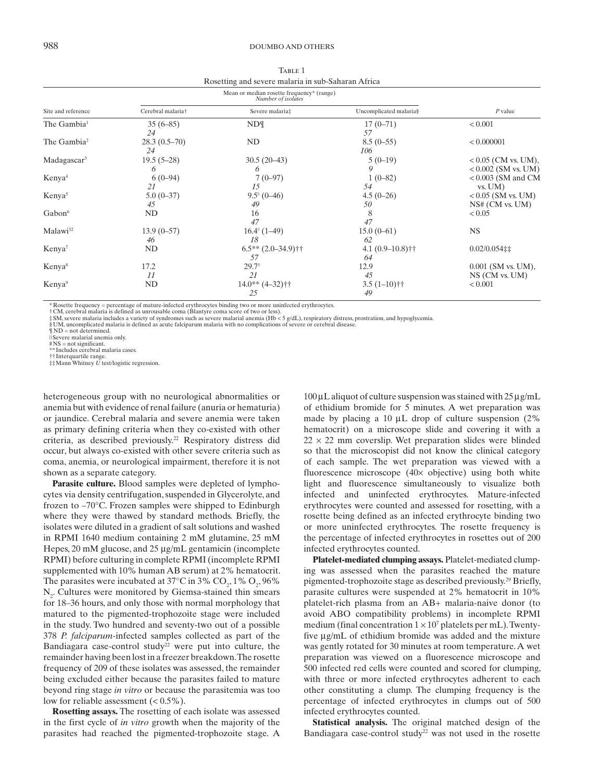| TABLE 1                                            |
|----------------------------------------------------|
| Rosetting and severe malaria in sub-Saharan Africa |

|                         | Mean or median rosette frequency* (range)<br>Number of isolates |                                |                          |                                                |
|-------------------------|-----------------------------------------------------------------|--------------------------------|--------------------------|------------------------------------------------|
| Site and reference      | Cerebral malaria†                                               | Severe malaria‡                | Uncomplicated malaria§   | $P$ value                                      |
| The Gambia <sup>1</sup> | $35(6-85)$<br>24                                                | $ND\P$                         | $17(0-71)$<br>57         | < 0.001                                        |
| The Gambia <sup>2</sup> | $28.3(0.5-70)$<br>24                                            | ND                             | $8.5(0-55)$<br>106       | < 0.000001                                     |
| Madagascar <sup>3</sup> | $19.5(5-28)$<br>6                                               | $30.5(20-43)$<br><sup>o</sup>  | $5(0-19)$<br>9           | $< 0.05$ (CM vs. UM),<br>$< 0.002$ (SM vs. UM) |
| Kenya <sup>4</sup>      | $6(0-94)$<br>21                                                 | $7(0-97)$<br>15                | $1(0-82)$<br>54          | $< 0.003$ (SM and CM<br>$vs.$ UM $)$           |
| Kenya <sup>5</sup>      | $5.0(0-37)$<br>45                                               | $9.5^{\text{II}}(0-46)$<br>49  | $4.5(0-26)$<br>50        | $< 0.05$ (SM vs. UM)<br>NS# (CM vs. UM)        |
| Gabon <sup>6</sup>      | ND                                                              | 16<br>47                       | 8<br>47                  | ${}< 0.05$                                     |
| Malawi <sup>32</sup>    | $13.9(0-57)$<br>46                                              | $16.4^{\circ}$ (1-49)<br>18    | $15.0(0-61)$<br>62       | <b>NS</b>                                      |
| Kenya <sup>7</sup>      | ND                                                              | $6.5**$ $(2.0-34.9)$ ††<br>.57 | $4.1(0.9-10.8)$ ††<br>64 | $0.02/0.054$ ##                                |
| Kenya <sup>8</sup>      | 17.2<br>11                                                      | 29.7<br>21                     | 12.9<br>45               | $0.001$ (SM vs. UM),<br>NS (CM vs. UM)         |
| Kenya <sup>9</sup>      | ND                                                              | $14.0**$ $(4-32)*$<br>25       | $3.5(1-10)$ ††<br>49     | < 0.001                                        |

\* Rosette frequency = percentage of mature-infected erythrocytes binding two or more uninfected erythrocytes.

† CM, cerebral malaria is defined as unrousable coma (Blantyre coma score of two or less).<br>‡SM, severe malaria includes a variety of syndromes such as severe malarial anemia (Hb < 5 g/dL), respiratory distress, prostration

§ UM, uncomplicated malaria is defined as acute falciparum malaria with no complications of severe or cerebral disease.

 $\P$  ND = not determined.

|| Severe malarial anemia only.

# NS = not significant.

†† Interquartile range. ‡‡ Mann Whitney *U* test/logistic regression.

heterogeneous group with no neurological abnormalities or anemia but with evidence of renal failure (anuria or hematuria) or jaundice. Cerebral malaria and severe anemia were taken as primary defining criteria when they co-existed with other criteria, as described previously.<sup>22</sup> Respiratory distress did occur, but always co-existed with other severe criteria such as coma, anemia, or neurological impairment, therefore it is not shown as a separate category.

 **Parasite culture.** Blood samples were depleted of lymphocytes via density centrifugation, suspended in Glycerolyte, and frozen to –70°C. Frozen samples were shipped to Edinburgh where they were thawed by standard methods. Briefly, the isolates were diluted in a gradient of salt solutions and washed in RPMI 1640 medium containing 2 mM glutamine, 25 mM Hepes, 20 mM glucose, and 25 μg/mL gentamicin (incomplete RPMI) before culturing in complete RPMI (incomplete RPMI supplemented with 10% human AB serum) at 2% hematocrit. The parasites were incubated at 37°C in 3%  $CO_2$ , 1%  $O_2$ , 96%  $N<sub>2</sub>$ . Cultures were monitored by Giemsa-stained thin smears for 18–36 hours, and only those with normal morphology that matured to the pigmented-trophozoite stage were included in the study. Two hundred and seventy-two out of a possible 378 *P. falciparum* -infected samples collected as part of the Bandiagara case-control study<sup>22</sup> were put into culture, the remainder having been lost in a freezer breakdown. The rosette frequency of 209 of these isolates was assessed, the remainder being excluded either because the parasites failed to mature beyond ring stage *in vitro* or because the parasitemia was too low for reliable assessment  $( $0.5\%$ ).$ 

 **Rosetting assays.** The rosetting of each isolate was assessed in the first cycle of *in vitro* growth when the majority of the parasites had reached the pigmented-trophozoite stage. A

100 μL aliquot of culture suspension was stained with 25 μg/mL of ethidium bromide for 5 minutes. A wet preparation was made by placing a 10 μL drop of culture suspension (2% hematocrit) on a microscope slide and covering it with a  $22 \times 22$  mm coverslip. Wet preparation slides were blinded so that the microscopist did not know the clinical category of each sample. The wet preparation was viewed with a fluorescence microscope (40× objective) using both white light and fluorescence simultaneously to visualize both infected and uninfected erythrocytes. Mature-infected erythrocytes were counted and assessed for rosetting, with a rosette being defined as an infected erythrocyte binding two or more uninfected erythrocytes. The rosette frequency is the percentage of infected erythrocytes in rosettes out of 200 infected erythrocytes counted.

 **Platelet-mediated clumping assays.** Platelet-mediated clumping was assessed when the parasites reached the mature pigmented-trophozoite stage as described previously. 29 Briefly, parasite cultures were suspended at 2% hematocrit in 10% platelet-rich plasma from an AB+ malaria-naive donor (to avoid ABO compatibility problems) in incomplete RPMI medium (final concentration  $1 \times 10^7$  platelets per mL). Twentyfive μg/mL of ethidium bromide was added and the mixture was gently rotated for 30 minutes at room temperature. A wet preparation was viewed on a fluorescence microscope and 500 infected red cells were counted and scored for clumping, with three or more infected erythrocytes adherent to each other constituting a clump. The clumping frequency is the percentage of infected erythrocytes in clumps out of 500 infected erythrocytes counted.

 **Statistical analysis.** The original matched design of the Bandiagara case-control study<sup>22</sup> was not used in the rosette

 <sup>\*\*</sup> Includes cerebral malaria cases.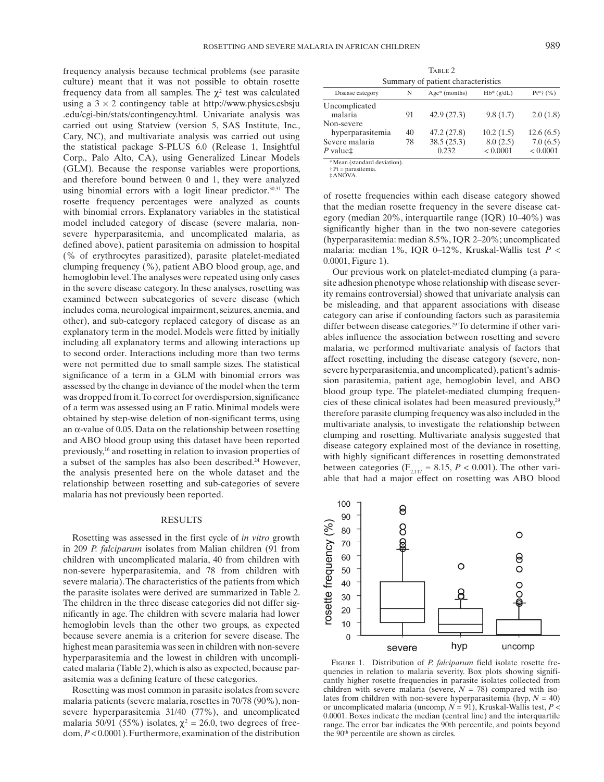frequency analysis because technical problems (see parasite culture) meant that it was not possible to obtain rosette frequency data from all samples. The  $\chi^2$  test was calculated using a  $3 \times 2$  contingency table at http://www.physics.csbsju .edu/cgi-bin/stats/contingency.html. Univariate analysis was carried out using Statview (version 5, SAS Institute, Inc., Cary, NC), and multivariate analysis was carried out using the statistical package S-PLUS 6.0 (Release 1, Insightful Corp., Palo Alto, CA), using Generalized Linear Models (GLM). Because the response variables were proportions, and therefore bound between 0 and 1, they were analyzed using binomial errors with a logit linear predictor.<sup>30,31</sup> The rosette frequency percentages were analyzed as counts with binomial errors. Explanatory variables in the statistical model included category of disease (severe malaria, nonsevere hyperparasitemia, and uncomplicated malaria, as defined above), patient parasitemia on admission to hospital (% of erythrocytes parasitized), parasite platelet-mediated clumping frequency (%), patient ABO blood group, age, and hemoglobin level. The analyses were repeated using only cases in the severe disease category. In these analyses, rosetting was examined between subcategories of severe disease (which includes coma, neurological impairment, seizures, anemia, and other), and sub-category replaced category of disease as an explanatory term in the model. Models were fitted by initially including all explanatory terms and allowing interactions up to second order. Interactions including more than two terms were not permitted due to small sample sizes. The statistical significance of a term in a GLM with binomial errors was assessed by the change in deviance of the model when the term was dropped from it. To correct for overdispersion, significance of a term was assessed using an F ratio. Minimal models were obtained by step-wise deletion of non-significant terms, using an  $\alpha$ -value of 0.05. Data on the relationship between rosetting and ABO blood group using this dataset have been reported previously, 16 and rosetting in relation to invasion properties of a subset of the samples has also been described.<sup>24</sup> However, the analysis presented here on the whole dataset and the relationship between rosetting and sub-categories of severe malaria has not previously been reported.

#### RESULTS

 Rosetting was assessed in the first cycle of *in vitro* growth in 209 *P. falciparum* isolates from Malian children (91 from children with uncomplicated malaria, 40 from children with non-severe hyperparasitemia, and 78 from children with severe malaria). The characteristics of the patients from which the parasite isolates were derived are summarized in Table 2. The children in the three disease categories did not differ significantly in age. The children with severe malaria had lower hemoglobin levels than the other two groups, as expected because severe anemia is a criterion for severe disease. The highest mean parasitemia was seen in children with non-severe hyperparasitemia and the lowest in children with uncomplicated malaria (Table 2), which is also as expected, because parasitemia was a defining feature of these categories.

 Rosetting was most common in parasite isolates from severe malaria patients (severe malaria, rosettes in 70/78 (90%), nonsevere hyperparasitemia 31/40 (77%), and uncomplicated malaria 50/91 (55%) isolates,  $\chi^2 = 26.0$ , two degrees of freedom, *P* < 0.0001). Furthermore, examination of the distribution

 Summary of patient characteristics Disease category  $N$  Age\* (months)  $Hb^*(g/dL)$   $Pt^*{}^+(%)$ Uncomplicated 91  $42.9(27.3)$   $9.8(1.7)$   $2.0(1.8)$ 

TABLE 2

|                  | $\sim$ 1 | $T \sim 7$ . $21$ . $31$ | $7.0$ (1.1) | 2.0(1.0)  |
|------------------|----------|--------------------------|-------------|-----------|
| Non-severe       |          |                          |             |           |
| hyperparasitemia | 40       | 47.2 (27.8)              | 10.2(1.5)   | 12.6(6.5) |
| Severe malaria   | 78       | 38.5(25.3)               | 8.0(2.5)    | 7.0(6.5)  |
| P value‡         |          | 0.232                    | < 0.0001    | < 0.0001  |
|                  |          |                          |             |           |

\* Mean (standard deviation).

 † Pt = parasitemia. ‡ ANOVA .

of rosette frequencies within each disease category showed that the median rosette frequency in the severe disease category (median 20%, interquartile range (IQR) 10–40%) was significantly higher than in the two non-severe categories (hyperparasitemia: median 8.5%, IQR 2–20%; uncomplicated malaria: median 1%, IQR 0–12%, Kruskal-Wallis test *P* < 0.0001, Figure 1).

 Our previous work on platelet-mediated clumping (a parasite adhesion phenotype whose relationship with disease severity remains controversial) showed that univariate analysis can be misleading, and that apparent associations with disease category can arise if confounding factors such as parasitemia differ between disease categories.<sup>29</sup> To determine if other variables influence the association between rosetting and severe malaria, we performed multivariate analysis of factors that affect rosetting, including the disease category (severe, nonsevere hyperparasitemia, and uncomplicated), patient's admission parasitemia, patient age, hemoglobin level, and ABO blood group type. The platelet-mediated clumping frequencies of these clinical isolates had been measured previously,<sup>29</sup> therefore parasite clumping frequency was also included in the multivariate analysis, to investigate the relationship between clumping and rosetting. Multivariate analysis suggested that disease category explained most of the deviance in rosetting, with highly significant differences in rosetting demonstrated between categories ( $F_{2,117} = 8.15$ ,  $P < 0.001$ ). The other variable that had a major effect on rosetting was ABO blood



FIGURE 1. Distribution of *P. falciparum* field isolate rosette frequencies in relation to malaria severity. Box plots showing significantly higher rosette frequencies in parasite isolates collected from children with severe malaria (severe,  $N = 78$ ) compared with isolates from children with non-severe hyperparasitemia (hyp,  $N = 40$ ) or uncomplicated malaria (uncomp, *N* = 91), Kruskal-Wallis test, *P* < 0.0001. Boxes indicate the median (central line) and the interquartile range. The error bar indicates the 90th percentile, and points beyond the 90<sup>th</sup> percentile are shown as circles.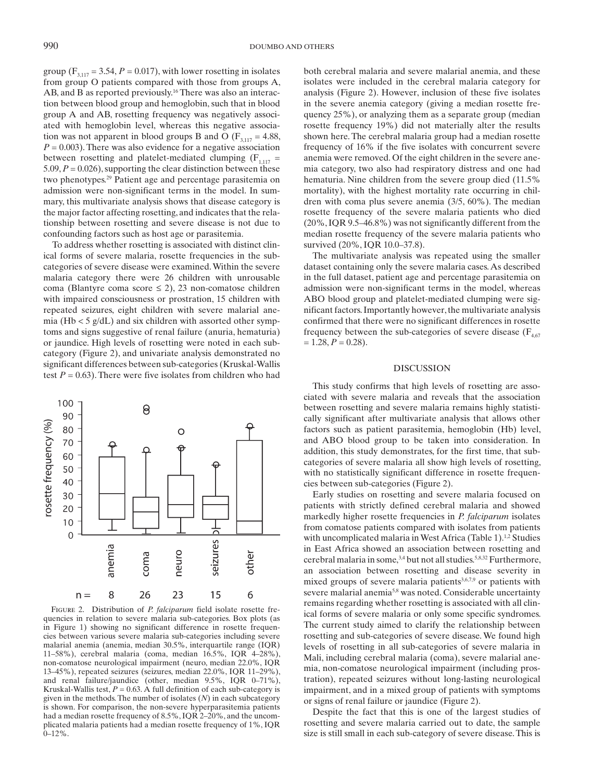group  $(F_{3117} = 3.54, P = 0.017)$ , with lower rosetting in isolates from group O patients compared with those from groups A, AB, and B as reported previously.<sup>16</sup> There was also an interaction between blood group and hemoglobin, such that in blood group A and AB, rosetting frequency was negatively associated with hemoglobin level, whereas this negative association was not apparent in blood groups B and O ( $F_{3,117} = 4.88$ ,  $P = 0.003$ ). There was also evidence for a negative association between rosetting and platelet-mediated clumping  $(F_{1,117} =$  $5.09, P = 0.026$ , supporting the clear distinction between these two phenotypes.<sup>29</sup> Patient age and percentage parasitemia on admission were non-significant terms in the model. In summary, this multivariate analysis shows that disease category is the major factor affecting rosetting, and indicates that the relationship between rosetting and severe disease is not due to confounding factors such as host age or parasitemia.

 To address whether rosetting is associated with distinct clinical forms of severe malaria, rosette frequencies in the subcategories of severe disease were examined. Within the severe malaria category there were 26 children with unrousable coma (Blantyre coma score  $\leq$  2), 23 non-comatose children with impaired consciousness or prostration, 15 children with repeated seizures, eight children with severe malarial anemia (Hb  $<$  5 g/dL) and six children with assorted other symptoms and signs suggestive of renal failure (anuria, hematuria) or jaundice. High levels of rosetting were noted in each subcategory (Figure 2), and univariate analysis demonstrated no significant differences between sub-categories (Kruskal-Wallis test  $P = 0.63$ ). There were five isolates from children who had



FIGURE 2. Distribution of *P. falciparum* field isolate rosette frequencies in relation to severe malaria sub-categories. Box plots (as in Figure 1) showing no significant difference in rosette frequencies between various severe malaria sub-categories including severe malarial anemia (anemia, median 30.5%, interquartile range (IQR) 11–58%), cerebral malaria (coma, median 16.5%, IQR 4–28%), non-comatose neurological impairment (neuro, median 22.0%, IQR 13–45%), repeated seizures (seizures, median 22.0%, IQR 11–29%), and renal failure/jaundice (other, median 9.5%, IQR 0–71%), Kruskal-Wallis test,  $P = 0.63$ . A full definition of each sub-category is given in the methods. The number of isolates  $(N)$  in each subcategory is shown. For comparison, the non-severe hyperparasitemia patients had a median rosette frequency of 8.5%, IQR 2–20%, and the uncomplicated malaria patients had a median rosette frequency of 1%, IQR  $0-12\%$ .

both cerebral malaria and severe malarial anemia, and these isolates were included in the cerebral malaria category for analysis (Figure 2). However, inclusion of these five isolates in the severe anemia category (giving a median rosette frequency 25%), or analyzing them as a separate group (median rosette frequency 19%) did not materially alter the results shown here. The cerebral malaria group had a median rosette frequency of 16% if the five isolates with concurrent severe anemia were removed. Of the eight children in the severe anemia category, two also had respiratory distress and one had hematuria. Nine children from the severe group died (11.5% mortality), with the highest mortality rate occurring in children with coma plus severe anemia (3/5, 60%). The median rosette frequency of the severe malaria patients who died (20%, IQR 9.5–46.8%) was not significantly different from the median rosette frequency of the severe malaria patients who survived (20%, IQR 10.0–37.8).

 The multivariate analysis was repeated using the smaller dataset containing only the severe malaria cases. As described in the full dataset, patient age and percentage parasitemia on admission were non-significant terms in the model, whereas ABO blood group and platelet-mediated clumping were significant factors. Importantly however, the multivariate analysis confirmed that there were no significant differences in rosette frequency between the sub-categories of severe disease  $(F_{4,67})$  $= 1.28, P = 0.28$ .

#### **DISCUSSION**

 This study confirms that high levels of rosetting are associated with severe malaria and reveals that the association between rosetting and severe malaria remains highly statistically significant after multivariate analysis that allows other factors such as patient parasitemia, hemoglobin (Hb) level, and ABO blood group to be taken into consideration. In addition, this study demonstrates, for the first time, that subcategories of severe malaria all show high levels of rosetting, with no statistically significant difference in rosette frequencies between sub-categories (Figure 2).

 Early studies on rosetting and severe malaria focused on patients with strictly defined cerebral malaria and showed markedly higher rosette frequencies in *P. falciparum* isolates from comatose patients compared with isolates from patients with uncomplicated malaria in West Africa (Table 1).<sup>1,2</sup> Studies in East Africa showed an association between rosetting and cerebral malaria in some, 3,4 but not all studies. 5,8,32 Furthermore, an association between rosetting and disease severity in mixed groups of severe malaria patients<sup>3,6,7,9</sup> or patients with severe malarial anemia<sup>5,8</sup> was noted. Considerable uncertainty remains regarding whether rosetting is associated with all clinical forms of severe malaria or only some specific syndromes. The current study aimed to clarify the relationship between rosetting and sub-categories of severe disease. We found high levels of rosetting in all sub-categories of severe malaria in Mali, including cerebral malaria (coma), severe malarial anemia, non-comatose neurological impairment (including prostration), repeated seizures without long-lasting neurological impairment, and in a mixed group of patients with symptoms or signs of renal failure or jaundice (Figure 2).

 Despite the fact that this is one of the largest studies of rosetting and severe malaria carried out to date, the sample size is still small in each sub-category of severe disease. This is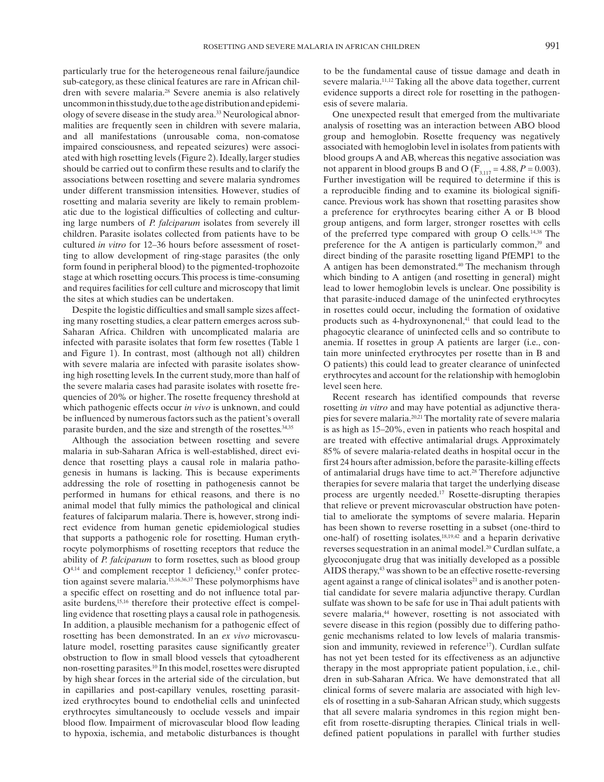particularly true for the heterogeneous renal failure/jaundice sub-category, as these clinical features are rare in African children with severe malaria.<sup>28</sup> Severe anemia is also relatively uncommon in this study, due to the age distribution and epidemiology of severe disease in the study area. 33 Neurological abnormalities are frequently seen in children with severe malaria, and all manifestations (unrousable coma, non-comatose impaired consciousness, and repeated seizures) were associated with high rosetting levels (Figure 2). Ideally, larger studies should be carried out to confirm these results and to clarify the associations between rosetting and severe malaria syndromes under different transmission intensities. However, studies of rosetting and malaria severity are likely to remain problematic due to the logistical difficulties of collecting and culturing large numbers of *P. falciparum* isolates from severely ill children. Parasite isolates collected from patients have to be cultured *in vitro* for 12–36 hours before assessment of rosetting to allow development of ring-stage parasites (the only form found in peripheral blood) to the pigmented-trophozoite stage at which rosetting occurs. This process is time-consuming and requires facilities for cell culture and microscopy that limit the sites at which studies can be undertaken.

 Despite the logistic difficulties and small sample sizes affecting many rosetting studies, a clear pattern emerges across sub-Saharan Africa. Children with uncomplicated malaria are infected with parasite isolates that form few rosettes (Table 1) and Figure 1). In contrast, most (although not all) children with severe malaria are infected with parasite isolates showing high rosetting levels. In the current study, more than half of the severe malaria cases had parasite isolates with rosette frequencies of 20% or higher. The rosette frequency threshold at which pathogenic effects occur *in vivo* is unknown, and could be influenced by numerous factors such as the patient's overall parasite burden, and the size and strength of the rosettes. 34,35

 Although the association between rosetting and severe malaria in sub-Saharan Africa is well-established, direct evidence that rosetting plays a causal role in malaria pathogenesis in humans is lacking. This is because experiments addressing the role of rosetting in pathogenesis cannot be performed in humans for ethical reasons, and there is no animal model that fully mimics the pathological and clinical features of falciparum malaria. There is, however, strong indirect evidence from human genetic epidemiological studies that supports a pathogenic role for rosetting. Human erythrocyte polymorphisms of rosetting receptors that reduce the ability of *P. falciparum* to form rosettes, such as blood group  $O<sup>4,14</sup>$  and complement receptor 1 deficiency,<sup>13</sup> confer protection against severe malaria. 15,16,36,37 These polymorphisms have a specific effect on rosetting and do not influence total parasite burdens, 15,16 therefore their protective effect is compelling evidence that rosetting plays a causal role in pathogenesis. In addition, a plausible mechanism for a pathogenic effect of rosetting has been demonstrated. In an *ex vivo* microvasculature model, rosetting parasites cause significantly greater obstruction to flow in small blood vessels that cytoadherent non-rosetting parasites. 10 In this model, rosettes were disrupted by high shear forces in the arterial side of the circulation, but in capillaries and post-capillary venules, rosetting parasitized erythrocytes bound to endothelial cells and uninfected erythrocytes simultaneously to occlude vessels and impair blood flow. Impairment of microvascular blood flow leading to hypoxia, ischemia, and metabolic disturbances is thought

to be the fundamental cause of tissue damage and death in severe malaria.<sup>11,12</sup> Taking all the above data together, current evidence supports a direct role for rosetting in the pathogenesis of severe malaria.

 One unexpected result that emerged from the multivariate analysis of rosetting was an interaction between ABO blood group and hemoglobin. Rosette frequency was negatively associated with hemoglobin level in isolates from patients with blood groups A and AB, whereas this negative association was not apparent in blood groups B and O ( $F_{3,117} = 4.88, P = 0.003$ ). Further investigation will be required to determine if this is a reproducible finding and to examine its biological significance. Previous work has shown that rosetting parasites show a preference for erythrocytes bearing either A or B blood group antigens, and form larger, stronger rosettes with cells of the preferred type compared with group O cells. 14,38 The preference for the A antigen is particularly common,<sup>39</sup> and direct binding of the parasite rosetting ligand PfEMP1 to the A antigen has been demonstrated.<sup>40</sup> The mechanism through which binding to A antigen (and rosetting in general) might lead to lower hemoglobin levels is unclear. One possibility is that parasite-induced damage of the uninfected erythrocytes in rosettes could occur, including the formation of oxidative products such as 4-hydroxynonenal,<sup>41</sup> that could lead to the phagocytic clearance of uninfected cells and so contribute to anemia. If rosettes in group A patients are larger (i.e., contain more uninfected erythrocytes per rosette than in B and O patients) this could lead to greater clearance of uninfected erythrocytes and account for the relationship with hemoglobin level seen here.

 Recent research has identified compounds that reverse rosetting *in vitro* and may have potential as adjunctive therapies for severe malaria. 20,21 The mortality rate of severe malaria is as high as 15–20%, even in patients who reach hospital and are treated with effective antimalarial drugs. Approximately 85% of severe malaria-related deaths in hospital occur in the first 24 hours after admission, before the parasite-killing effects of antimalarial drugs have time to act.<sup>28</sup> Therefore adjunctive therapies for severe malaria that target the underlying disease process are urgently needed.<sup>17</sup> Rosette-disrupting therapies that relieve or prevent microvascular obstruction have potential to ameliorate the symptoms of severe malaria. Heparin has been shown to reverse rosetting in a subset (one-third to one-half) of rosetting isolates, 18,19,42 and a heparin derivative reverses sequestration in an animal model.<sup>20</sup> Curdlan sulfate, a glycoconjugate drug that was initially developed as a possible AIDS therapy,<sup>43</sup> was shown to be an effective rosette-reversing agent against a range of clinical isolates<sup>21</sup> and is another potential candidate for severe malaria adjunctive therapy. Curdlan sulfate was shown to be safe for use in Thai adult patients with severe malaria,<sup>44</sup> however, rosetting is not associated with severe disease in this region (possibly due to differing pathogenic mechanisms related to low levels of malaria transmission and immunity, reviewed in reference<sup>17</sup>). Curdlan sulfate has not yet been tested for its effectiveness as an adjunctive therapy in the most appropriate patient population, i.e *.,* children in sub-Saharan Africa. We have demonstrated that all clinical forms of severe malaria are associated with high levels of rosetting in a sub-Saharan African study, which suggests that all severe malaria syndromes in this region might benefit from rosette-disrupting therapies. Clinical trials in welldefined patient populations in parallel with further studies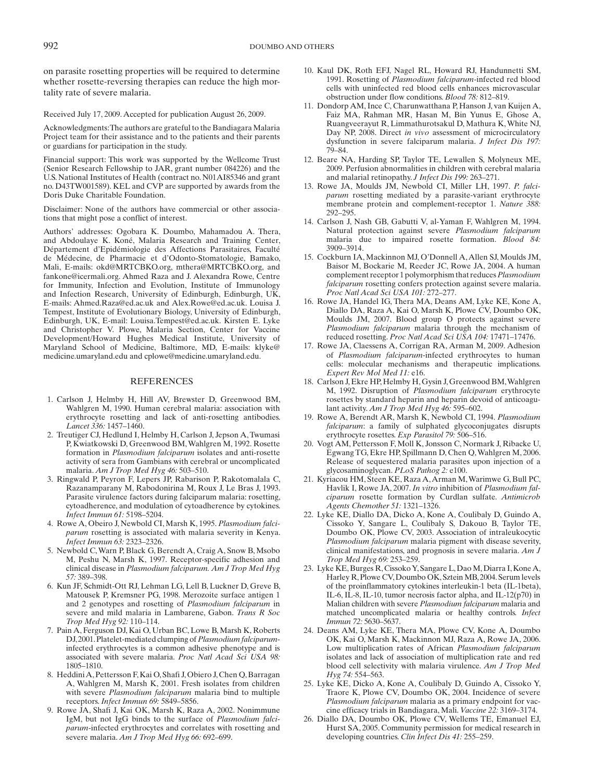on parasite rosetting properties will be required to determine whether rosette-reversing therapies can reduce the high mortality rate of severe malaria.

Received July 17, 2009. Accepted for publication August 26, 2009.

 Acknowledgments: The authors are grateful to the Bandiagara Malaria Project team for their assistance and to the patients and their parents or guardians for participation in the study.

 Financial support: This work was supported by the Wellcome Trust (Senior Research Fellowship to JAR, grant number 084226) and the U.S. National Institutes of Health (contract no. N01AI85346 and grant no. D43TW001589). KEL and CVP are supported by awards from the Doris Duke Charitable Foundation.

 Disclaimer: None of the authors have commercial or other associations that might pose a conflict of interest.

 Authors' addresses: Ogobara K. Doumbo, Mahamadou A. Thera, and Abdoulaye K. Koné, Malaria Research and Training Center, Département d'Epidémiologie des Affections Parasitaires, Faculté de Médecine, de Pharmacie et d'Odonto-Stomatologie, Bamako, Mali, E-mails: okd@MRTCBKO.org, mthera@MRTCBKO.org, and fankone@icermali.org. Ahmed Raza and J. Alexandra Rowe, Centre for Immunity, Infection and Evolution, Institute of Immunology and Infection Research, University of Edinburgh, Edinburgh, UK, E-mails: Ahmed.Raza@ed.ac.uk and Alex.Rowe@ed.ac.uk. Louisa J. Tempest, Institute of Evolutionary Biology, University of Edinburgh, Edinburgh, UK, E-mail: Louisa.Tempest@ed.ac.uk. Kirsten E. Lyke and Christopher V. Plowe, Malaria Section, Center for Vaccine Development/Howard Hughes Medical Institute, University of Maryland School of Medicine, Baltimore, MD, E-mails: klyke@ medicine.umaryland.edu and cplowe@medicine.umaryland.edu.

### REFERENCES

- 1. Carlson J, Helmby H, Hill AV, Brewster D, Greenwood BM, Wahlgren M, 1990. Human cerebral malaria: association with erythrocyte rosetting and lack of anti-rosetting antibodies. *Lancet 336:* 1457–1460.
- 2. Treutiger CJ, Hedlund I, Helmby H, Carlson J, Jepson A, Twumasi P, Kwiatkowski D, Greenwood BM, Wahlgren M, 1992. Rosette formation in *Plasmodium falciparum* isolates and anti-rosette activity of sera from Gambians with cerebral or uncomplicated malaria. *Am J Trop Med Hyg 46:* 503–510.
- 3. Ringwald P, Peyron F, Lepers JP, Rabarison P, Rakotomalala C, Razanamparany M, Rabodonirina M, Roux J, Le Bras J, 1993. Parasite virulence factors during falciparum malaria: rosetting, cytoadherence, and modulation of cytoadherence by cytokines. *Infect Immun 61:* 5198–5204.
- 4. Rowe A, Obeiro J, Newbold CI, Marsh K, 1995. *Plasmodium falciparum* rosetting is associated with malaria severity in Kenya. *Infect Immun 63:* 2323–2326.
- 5. Newbold C, Warn P, Black G, Berendt A, Craig A, Snow B, Msobo M, Peshu N, Marsh K, 1997. Receptor-specific adhesion and clinical disease in *Plasmodium falciparum. Am J Trop Med Hyg 57:* 389–398.
- 6. Kun JF, Schmidt-Ott RJ, Lehman LG, Lell B, Luckner D, Greve B, Matousek P, Kremsner PG, 1998. Merozoite surface antigen 1 and 2 genotypes and rosetting of *Plasmodium falciparum* in severe and mild malaria in Lambarene, Gabon. *Trans R Soc Trop Med Hyg 92:* 110–114.
- 7. Pain A, Ferguson DJ, Kai O, Urban BC, Lowe B, Marsh K, Roberts DJ, 2001. Platelet-mediated clumping of *Plasmodium falciparum* infected erythrocytes is a common adhesive phenotype and is associated with severe malaria. *Proc Natl Acad Sci USA 98:* 1805–1810.
- 8. Heddini A, Pettersson F, Kai O, Shafi J, Obiero J, Chen Q, Barragan A, Wahlgren M, Marsh K, 2001. Fresh isolates from children with severe *Plasmodium falciparum* malaria bind to multiple receptors. *Infect Immun 69:* 5849–5856.
- 9. Rowe JA, Shafi J, Kai OK, Marsh K, Raza A, 2002. Nonimmune IgM, but not IgG binds to the surface of *Plasmodium falciparum* -infected erythrocytes and correlates with rosetting and severe malaria. *Am J Trop Med Hyg 66:* 692–699.
- 10. Kaul DK, Roth EFJ, Nagel RL, Howard RJ, Handunnetti SM, 1991. Rosetting of *Plasmodium falciparum* -infected red blood cells with uninfected red blood cells enhances microvascular obstruction under flow conditions. *Blood 78:* 812–819.
- 11. Dondorp AM, Ince C, Charunwatthana P, Hanson J, van Kuijen A, Faiz MA, Rahman MR, Hasan M, Bin Yunus E, Ghose A, Ruangveerayut R, Limmathurotsakul D, Mathura K, White NJ, Day NP, 2008. Direct *in vivo* assessment of microcirculatory dysfunction in severe falciparum malaria. *J Infect Dis 197:* 79–84.
- 12. Beare NA, Harding SP, Taylor TE, Lewallen S, Molyneux ME, 2009. Perfusion abnormalities in children with cerebral malaria and malarial retinopathy. *J Infect Dis 199:* 263–271.
- 13. Rowe JA, Moulds JM, Newbold CI, Miller LH, 1997. *P. falciparum* rosetting mediated by a parasite-variant erythrocyte membrane protein and complement-receptor 1. *Nature 388:* 292–295.
- 14. Carlson J, Nash GB, Gabutti V, al-Yaman F, Wahlgren M, 1994. Natural protection against severe *Plasmodium falciparum* malaria due to impaired rosette formation. *Blood 84:* 3909–3914.
- 15. Cockburn IA, Mackinnon MJ, O'Donnell A, Allen SJ, Moulds JM, Baisor M, Bockarie M, Reeder JC, Rowe JA, 2004. A human complement receptor 1 polymorphism that reduces *Plasmodium falciparum* rosetting confers protection against severe malaria. *Proc Natl Acad Sci USA 101:* 272–277.
- 16. Rowe JA, Handel IG, Thera MA, Deans AM, Lyke KE, Kone A, Diallo DA, Raza A, Kai O, Marsh K, Plowe CV, Doumbo OK, Moulds JM, 2007. Blood group O protects against severe *Plasmodium falciparum* malaria through the mechanism of reduced rosetting. *Proc Natl Acad Sci USA 104:* 17471–17476.
- 17. Rowe JA, Claessens A, Corrigan RA, Arman M, 2009. Adhesion of *Plasmodium falciparum* -infected erythrocytes to human cells: molecular mechanisms and therapeutic implications. *Expert Rev Mol Med 11:* e16.
- 18. Carlson J, Ekre HP, Helmby H, Gysin J, Greenwood BM, Wahlgren M, 1992. Disruption of *Plasmodium falciparum* erythrocyte rosettes by standard heparin and heparin devoid of anticoagulant activity. *Am J Trop Med Hyg 46:* 595–602.
- 19. Rowe A, Berendt AR, Marsh K, Newbold CI, 1994. *Plasmodium falciparum*: a family of sulphated glycoconjugates disrupts erythrocyte rosettes. *Exp Parasitol 79:* 506–516.
- 20. Vogt AM, Pettersson F, Moll K, Jonsson C, Normark J, Ribacke U, Egwang TG, Ekre HP, Spillmann D, Chen Q, Wahlgren M, 2006. Release of sequestered malaria parasites upon injection of a glycosaminoglycan. *PLoS Pathog 2:* e100.
- 21. Kyriacou HM, Steen KE, Raza A, Arman M, Warimwe G, Bull PC, Havlik I, Rowe JA, 2007. *In vitro* inhibition of *Plasmodium falciparum* rosette formation by Curdlan sulfate. *Antimicrob Agents Chemother 51:* 1321–1326.
- 22. Lyke KE, Diallo DA, Dicko A, Kone A, Coulibaly D, Guindo A, Cissoko Y, Sangare L, Coulibaly S, Dakouo B, Taylor TE, Doumbo OK, Plowe CV, 2003. Association of intraleukocytic *Plasmodium falciparum* malaria pigment with disease severity, clinical manifestations, and prognosis in severe malaria. *Am J Trop Med Hyg 69:* 253–259.
- 23. Lyke KE, Burges R, Cissoko Y, Sangare L, Dao M, Diarra I, Kone A, Harley R, Plowe CV, Doumbo OK, Sztein MB, 2004. Serum levels of the proinflammatory cytokines interleukin-1 beta (IL-1beta), IL-6, IL-8, IL-10, tumor necrosis factor alpha, and IL-12(p70) in Malian children with severe *Plasmodium falciparum* malaria and matched uncomplicated malaria or healthy controls. *Infect Immun 72:* 5630–5637.
- 24. Deans AM, Lyke KE, Thera MA, Plowe CV, Kone A, Doumbo OK, Kai O, Marsh K, Mackinnon MJ, Raza A, Rowe JA, 2006. Low multiplication rates of African *Plasmodium falciparum* isolates and lack of association of multiplication rate and red blood cell selectivity with malaria virulence. *Am J Trop Med Hyg 74:* 554–563.
- 25. Lyke KE, Dicko A, Kone A, Coulibaly D, Guindo A, Cissoko Y, Traore K, Plowe CV, Doumbo OK, 2004. Incidence of severe *Plasmodium falciparum* malaria as a primary endpoint for vaccine efficacy trials in Bandiagara, Mali. *Vaccine 22:* 3169–3174.
- 26. Diallo DA, Doumbo OK, Plowe CV, Wellems TE, Emanuel EJ, Hurst SA, 2005. Community permission for medical research in developing countries. *Clin Infect Dis 41:* 255–259.